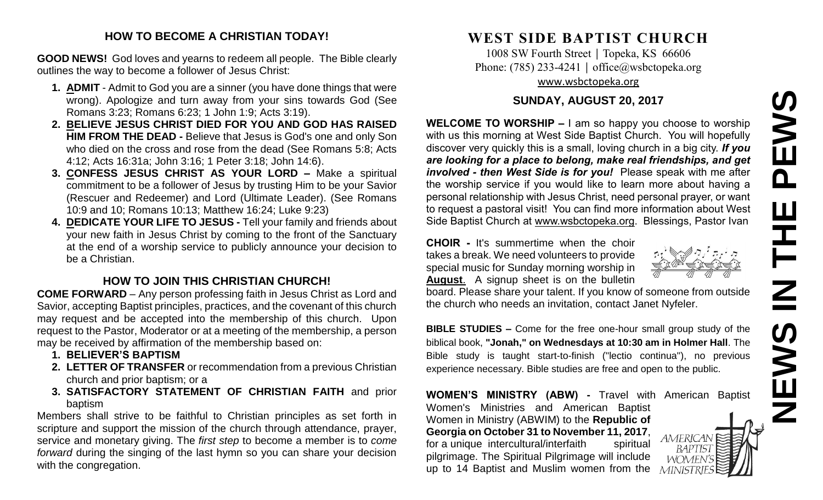# **NEWS IN THE PEWS**PEWS Ш 픈  $\overline{z}$ Z

#### **HOW TO BECOME A CHRISTIAN TODAY!**

**GOOD NEWS!** God loves and yearns to redeem all people. The Bible clearly outlines the way to become a follower of Jesus Christ:

- **1. ADMIT** Admit to God you are a sinner (you have done things that were wrong). Apologize and turn away from your sins towards God (See Romans 3:23; Romans 6:23; 1 John 1:9; Acts 3:19).
- **2. BELIEVE JESUS CHRIST DIED FOR YOU AND GOD HAS RAISED HIM FROM THE DEAD -** Believe that Jesus is God's one and only Son who died on the cross and rose from the dead (See Romans 5:8; Acts 4:12; Acts 16:31a; John 3:16; 1 Peter 3:18; John 14:6).
- **3. CONFESS JESUS CHRIST AS YOUR LORD –** Make a spiritual commitment to be a follower of Jesus by trusting Him to be your Savior (Rescuer and Redeemer) and Lord (Ultimate Leader). (See Romans 10:9 and 10; Romans 10:13; Matthew 16:24; Luke 9:23)
- **4. DEDICATE YOUR LIFE TO JESUS -** Tell your family and friends about your new faith in Jesus Christ by coming to the front of the Sanctuary at the end of a worship service to publicly announce your decision to be a Christian.

#### **HOW TO JOIN THIS CHRISTIAN CHURCH!**

**COME FORWARD** – Any person professing faith in Jesus Christ as Lord and Savior, accepting Baptist principles, practices, and the covenant of this church may request and be accepted into the membership of this church. Upon request to the Pastor, Moderator or at a meeting of the membership, a person may be received by affirmation of the membership based on:

- **1. BELIEVER'S BAPTISM**
- **2. LETTER OF TRANSFER** or recommendation from a previous Christian church and prior baptism; or a
- **3. SATISFACTORY STATEMENT OF CHRISTIAN FAITH** and prior baptism

Members shall strive to be faithful to Christian principles as set forth in scripture and support the mission of the church through attendance, prayer, service and monetary giving. The *first step* to become a member is to *come forward* during the singing of the last hymn so you can share your decision with the congregation.

## **WEST SIDE BAPTIST CHURCH**

1008 SW Fourth Street | Topeka, KS 66606 Phone: (785) 233-4241 │ [office@wsbctopeka.org](mailto:office@wsbctopeka.org) [www.wsbctopeka.org](http://www.wsbctopeka.org/)

#### **SUNDAY, AUGUST 20, 2017**

**WELCOME TO WORSHIP –** I am so happy you choose to worship with us this morning at West Side Baptist Church. You will hopefully discover very quickly this is a small, loving church in a big city. *If you are looking for a place to belong, make real friendships, and get involved - then West Side is for you!* Please speak with me after the worship service if you would like to learn more about having a personal relationship with Jesus Christ, need personal prayer, or want to request a pastoral visit! You can find more information about West Side Baptist Church at [www.wsbctopeka.org.](http://www.wsbctopeka.org/) Blessings, Pastor Ivan

**CHOIR -** It's summertime when the choir takes a break. We need volunteers to provide special music for Sunday morning worship in **August**. A signup sheet is on the bulletin

board. Please share your talent. If you know of someone from outside the church who needs an invitation, contact Janet Nyfeler.

**BIBLE STUDIES –** Come for the free one-hour small group study of the biblical book, **"Jonah," on Wednesdays at 10:30 am in Holmer Hall**. The Bible study is taught start-to-finish ("lectio continua"), no previous experience necessary. Bible studies are free and open to the public.

**WOMEN'S MINISTRY (ABW) -** Travel with American Baptist Women's Ministries and American Baptist Women in Ministry (ABWIM) to the **Republic of Georgia on October 31 to November 11, 2017**, **AMERICAN** for a unique intercultural/interfaith spiritual **BAPTIST** pilgrimage. The Spiritual Pilgrimage will include WOMEN'S up to 14 Baptist and Muslim women from the MINIST

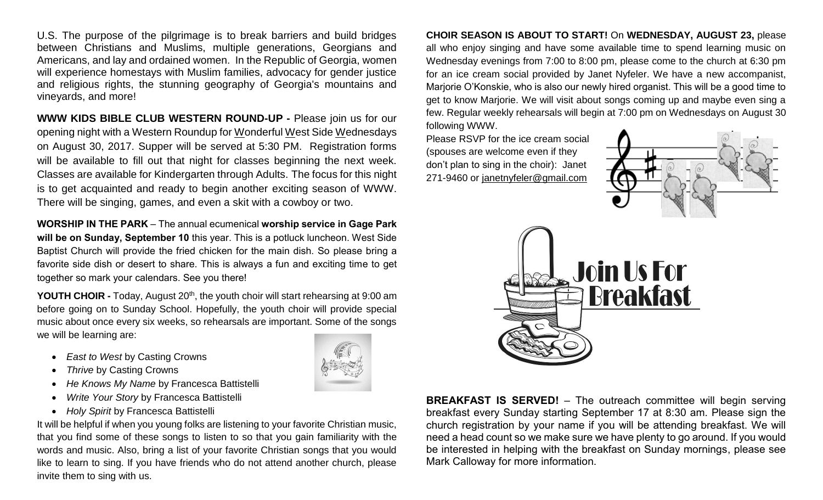U.S. The purpose of the pilgrimage is to break barriers and build bridges between Christians and Muslims, multiple generations, Georgians and Americans, and lay and ordained women. In the Republic of Georgia, women will experience homestays with Muslim families, advocacy for gender justice and religious rights, the stunning geography of Georgia's mountains and vineyards, and more!

**WWW KIDS BIBLE CLUB WESTERN ROUND-UP -** Please join us for our opening night with a Western Roundup for Wonderful West Side Wednesdays on August 30, 2017. Supper will be served at 5:30 PM. Registration forms will be available to fill out that night for classes beginning the next week. Classes are available for Kindergarten through Adults. The focus for this night is to get acquainted and ready to begin another exciting season of WWW. There will be singing, games, and even a skit with a cowboy or two.

**WORSHIP IN THE PARK** – The annual ecumenical **worship service in Gage Park will be on Sunday, September 10** this year. This is a potluck luncheon. West Side Baptist Church will provide the fried chicken for the main dish. So please bring a favorite side dish or desert to share. This is always a fun and exciting time to get together so mark your calendars. See you there!

**YOUTH CHOIR -** Today, August 20<sup>th</sup>, the youth choir will start rehearsing at 9:00 am before going on to Sunday School. Hopefully, the youth choir will provide special music about once every six weeks, so rehearsals are important. Some of the songs we will be learning are:

- *East to West* by Casting Crowns
- **Thrive by Casting Crowns**
- *He Knows My Name* by Francesca Battistelli
- *Write Your Story* by Francesca Battistelli
- *Holy Spirit* by Francesca Battistelli

It will be helpful if when you young folks are listening to your favorite Christian music, that you find some of these songs to listen to so that you gain familiarity with the words and music. Also, bring a list of your favorite Christian songs that you would like to learn to sing. If you have friends who do not attend another church, please invite them to sing with us.



**CHOIR SEASON IS ABOUT TO START!** On **WEDNESDAY, AUGUST 23,** please all who enjoy singing and have some available time to spend learning music on Wednesday evenings from 7:00 to 8:00 pm, please come to the church at 6:30 pm for an ice cream social provided by Janet Nyfeler. We have a new accompanist, Marjorie O'Konskie, who is also our newly hired organist. This will be a good time to get to know Marjorie. We will visit about songs coming up and maybe even sing a few. Regular weekly rehearsals will begin at 7:00 pm on Wednesdays on August 30

following WWW. Please RSVP for the ice cream social (spouses are welcome even if they don't plan to sing in the choir): Janet 271-9460 or [janetnyfeler@gmail.com](mailto:janetnyfeler@gmail.com)





**BREAKFAST IS SERVED!** – The outreach committee will begin serving breakfast every Sunday starting September 17 at 8:30 am. Please sign the church registration by your name if you will be attending breakfast. We will need a head count so we make sure we have plenty to go around. If you would be interested in helping with the breakfast on Sunday mornings, please see Mark Calloway for more information.